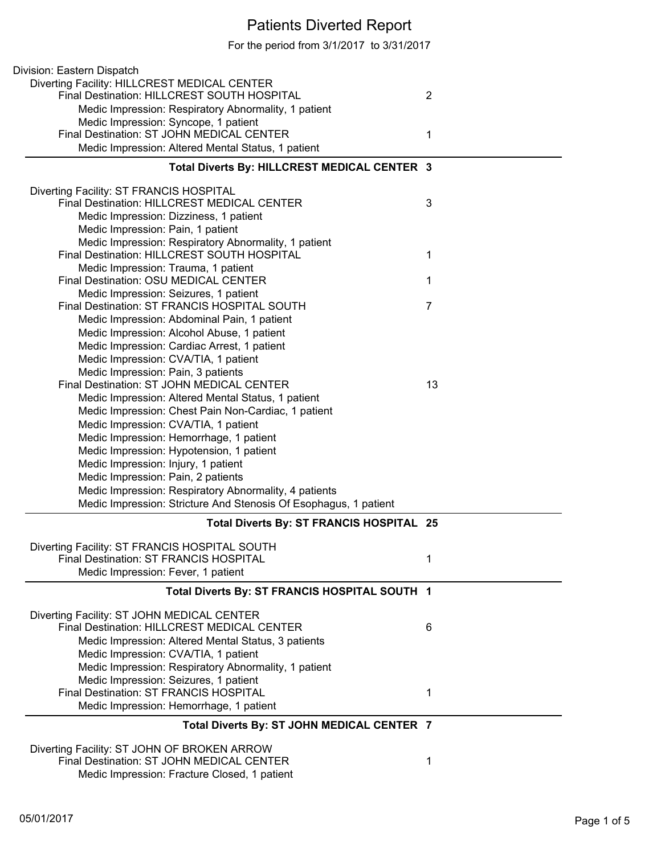## Patients Diverted Report

For the period from 3/1/2017 to 3/31/2017

| Division: Eastern Dispatch                                                             |                |
|----------------------------------------------------------------------------------------|----------------|
| Diverting Facility: HILLCREST MEDICAL CENTER                                           |                |
| Final Destination: HILLCREST SOUTH HOSPITAL                                            | $\overline{2}$ |
| Medic Impression: Respiratory Abnormality, 1 patient                                   |                |
| Medic Impression: Syncope, 1 patient                                                   |                |
| Final Destination: ST JOHN MEDICAL CENTER                                              | 1              |
| Medic Impression: Altered Mental Status, 1 patient                                     |                |
| Total Diverts By: HILLCREST MEDICAL CENTER 3                                           |                |
|                                                                                        |                |
| Diverting Facility: ST FRANCIS HOSPITAL<br>Final Destination: HILLCREST MEDICAL CENTER | 3              |
| Medic Impression: Dizziness, 1 patient                                                 |                |
| Medic Impression: Pain, 1 patient                                                      |                |
| Medic Impression: Respiratory Abnormality, 1 patient                                   |                |
| Final Destination: HILLCREST SOUTH HOSPITAL                                            | 1              |
| Medic Impression: Trauma, 1 patient                                                    |                |
| Final Destination: OSU MEDICAL CENTER                                                  | 1              |
| Medic Impression: Seizures, 1 patient                                                  |                |
| Final Destination: ST FRANCIS HOSPITAL SOUTH                                           | $\overline{7}$ |
| Medic Impression: Abdominal Pain, 1 patient                                            |                |
| Medic Impression: Alcohol Abuse, 1 patient                                             |                |
| Medic Impression: Cardiac Arrest, 1 patient                                            |                |
| Medic Impression: CVA/TIA, 1 patient                                                   |                |
| Medic Impression: Pain, 3 patients                                                     |                |
| Final Destination: ST JOHN MEDICAL CENTER                                              | 13             |
| Medic Impression: Altered Mental Status, 1 patient                                     |                |
| Medic Impression: Chest Pain Non-Cardiac, 1 patient                                    |                |
| Medic Impression: CVA/TIA, 1 patient                                                   |                |
| Medic Impression: Hemorrhage, 1 patient<br>Medic Impression: Hypotension, 1 patient    |                |
| Medic Impression: Injury, 1 patient                                                    |                |
| Medic Impression: Pain, 2 patients                                                     |                |
| Medic Impression: Respiratory Abnormality, 4 patients                                  |                |
| Medic Impression: Stricture And Stenosis Of Esophagus, 1 patient                       |                |
|                                                                                        |                |
| Total Diverts By: ST FRANCIS HOSPITAL 25                                               |                |
| Diverting Facility: ST FRANCIS HOSPITAL SOUTH                                          |                |
| Final Destination: ST FRANCIS HOSPITAL                                                 | 1              |
| Medic Impression: Fever, 1 patient                                                     |                |
| Total Diverts By: ST FRANCIS HOSPITAL SOUTH 1                                          |                |
| Diverting Facility: ST JOHN MEDICAL CENTER                                             |                |
| Final Destination: HILLCREST MEDICAL CENTER                                            | 6              |
| Medic Impression: Altered Mental Status, 3 patients                                    |                |
| Medic Impression: CVA/TIA, 1 patient                                                   |                |
| Medic Impression: Respiratory Abnormality, 1 patient                                   |                |
| Medic Impression: Seizures, 1 patient                                                  |                |
| Final Destination: ST FRANCIS HOSPITAL                                                 | 1              |
| Medic Impression: Hemorrhage, 1 patient                                                |                |
| Total Diverts By: ST JOHN MEDICAL CENTER 7                                             |                |
| Diverting Facility: ST JOHN OF BROKEN ARROW                                            |                |
| Final Destination: ST JOHN MEDICAL CENTER                                              | 1              |
| Medic Impression: Fracture Closed, 1 patient                                           |                |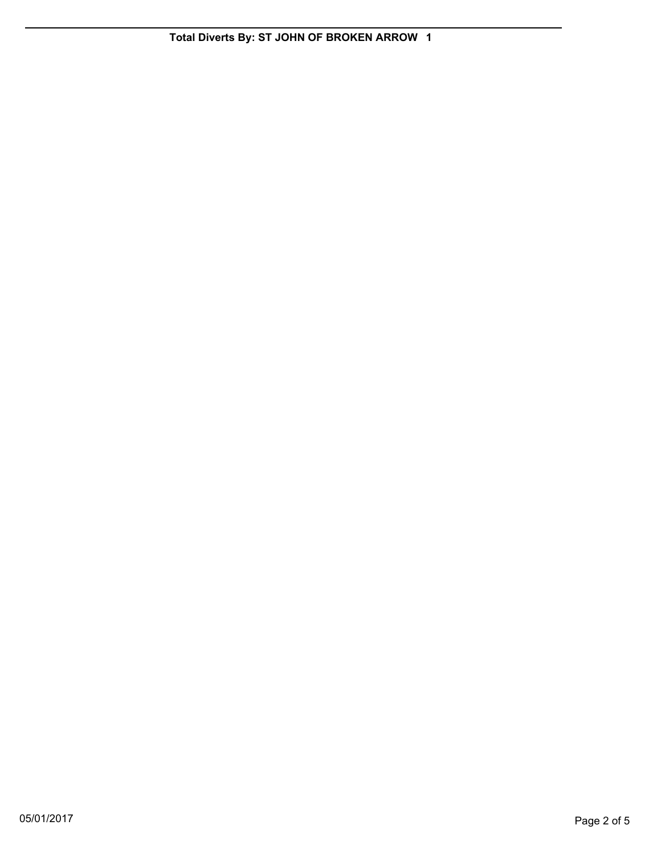**Total Diverts By: ST JOHN OF BROKEN ARROW 1**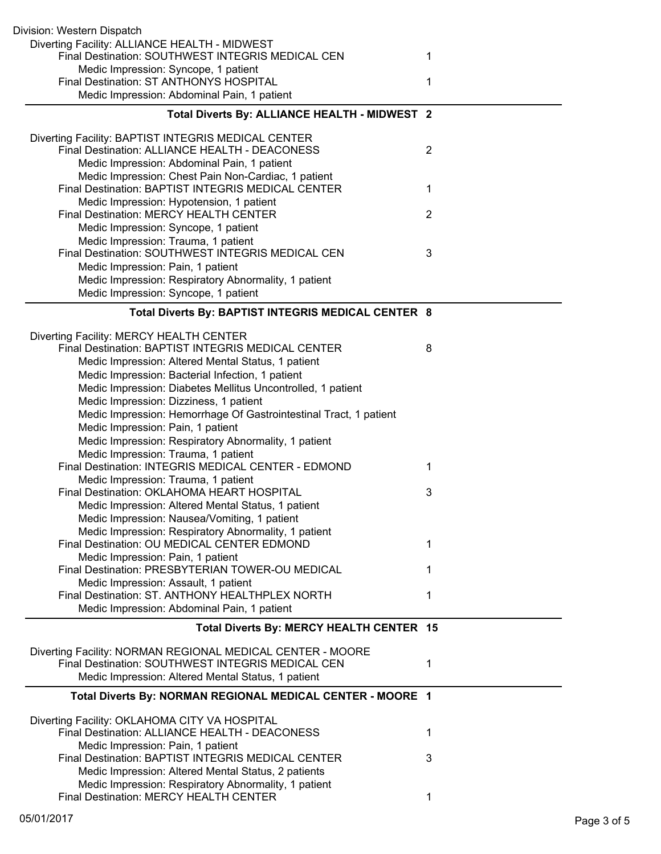| Division: Western Dispatch                                                                         |                |
|----------------------------------------------------------------------------------------------------|----------------|
| Diverting Facility: ALLIANCE HEALTH - MIDWEST<br>Final Destination: SOUTHWEST INTEGRIS MEDICAL CEN | 1              |
| Medic Impression: Syncope, 1 patient                                                               |                |
| Final Destination: ST ANTHONYS HOSPITAL                                                            | 1              |
| Medic Impression: Abdominal Pain, 1 patient                                                        |                |
| Total Diverts By: ALLIANCE HEALTH - MIDWEST 2                                                      |                |
| Diverting Facility: BAPTIST INTEGRIS MEDICAL CENTER                                                |                |
| Final Destination: ALLIANCE HEALTH - DEACONESS                                                     | $\overline{2}$ |
| Medic Impression: Abdominal Pain, 1 patient                                                        |                |
| Medic Impression: Chest Pain Non-Cardiac, 1 patient                                                |                |
| Final Destination: BAPTIST INTEGRIS MEDICAL CENTER                                                 | 1              |
| Medic Impression: Hypotension, 1 patient                                                           |                |
| Final Destination: MERCY HEALTH CENTER                                                             | $\overline{2}$ |
| Medic Impression: Syncope, 1 patient                                                               |                |
| Medic Impression: Trauma, 1 patient                                                                |                |
| Final Destination: SOUTHWEST INTEGRIS MEDICAL CEN                                                  | 3              |
| Medic Impression: Pain, 1 patient                                                                  |                |
| Medic Impression: Respiratory Abnormality, 1 patient<br>Medic Impression: Syncope, 1 patient       |                |
|                                                                                                    |                |
| Total Diverts By: BAPTIST INTEGRIS MEDICAL CENTER 8                                                |                |
| Diverting Facility: MERCY HEALTH CENTER                                                            |                |
| Final Destination: BAPTIST INTEGRIS MEDICAL CENTER                                                 | 8              |
| Medic Impression: Altered Mental Status, 1 patient                                                 |                |
| Medic Impression: Bacterial Infection, 1 patient                                                   |                |
| Medic Impression: Diabetes Mellitus Uncontrolled, 1 patient                                        |                |
| Medic Impression: Dizziness, 1 patient                                                             |                |
| Medic Impression: Hemorrhage Of Gastrointestinal Tract, 1 patient                                  |                |
| Medic Impression: Pain, 1 patient                                                                  |                |
| Medic Impression: Respiratory Abnormality, 1 patient                                               |                |
| Medic Impression: Trauma, 1 patient<br>Final Destination: INTEGRIS MEDICAL CENTER - EDMOND         | 1              |
| Medic Impression: Trauma, 1 patient                                                                |                |
| Final Destination: OKLAHOMA HEART HOSPITAL                                                         | 3              |
| Medic Impression: Altered Mental Status, 1 patient                                                 |                |
| Medic Impression: Nausea/Vomiting, 1 patient                                                       |                |
| Medic Impression: Respiratory Abnormality, 1 patient                                               |                |
| Final Destination: OU MEDICAL CENTER EDMOND                                                        | 1              |
| Medic Impression: Pain, 1 patient                                                                  |                |
| Final Destination: PRESBYTERIAN TOWER-OU MEDICAL                                                   | 1              |
| Medic Impression: Assault, 1 patient                                                               |                |
| Final Destination: ST. ANTHONY HEALTHPLEX NORTH                                                    | 1              |
| Medic Impression: Abdominal Pain, 1 patient                                                        |                |
| Total Diverts By: MERCY HEALTH CENTER 15                                                           |                |
| Diverting Facility: NORMAN REGIONAL MEDICAL CENTER - MOORE                                         |                |
| Final Destination: SOUTHWEST INTEGRIS MEDICAL CEN                                                  | 1              |
| Medic Impression: Altered Mental Status, 1 patient                                                 |                |
| Total Diverts By: NORMAN REGIONAL MEDICAL CENTER - MOORE 1                                         |                |
| Diverting Facility: OKLAHOMA CITY VA HOSPITAL                                                      |                |
| Final Destination: ALLIANCE HEALTH - DEACONESS                                                     | 1              |
| Medic Impression: Pain, 1 patient                                                                  |                |
| Final Destination: BAPTIST INTEGRIS MEDICAL CENTER                                                 | 3              |
| Medic Impression: Altered Mental Status, 2 patients                                                |                |
| Medic Impression: Respiratory Abnormality, 1 patient                                               |                |
| Final Destination: MERCY HEALTH CENTER                                                             |                |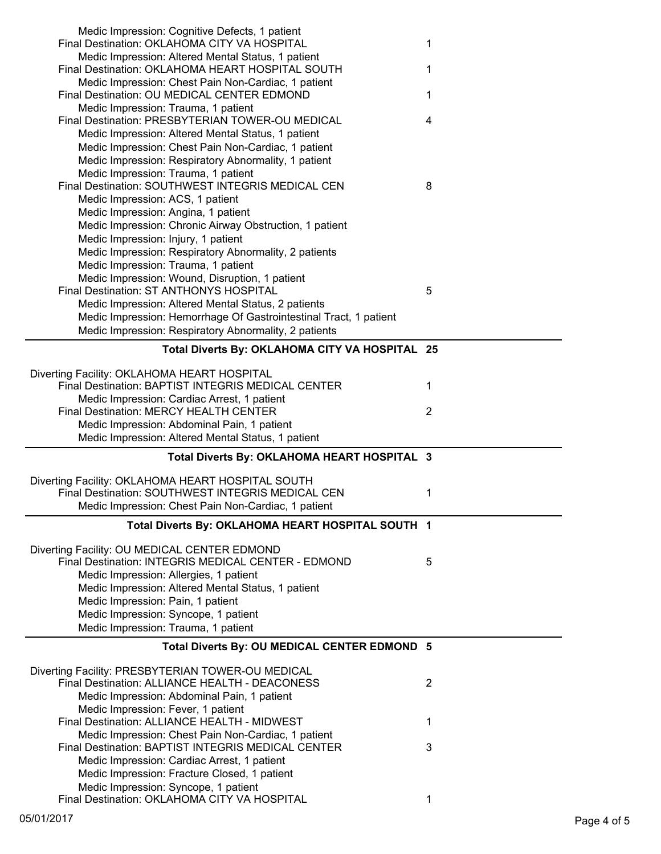| Medic Impression: Cognitive Defects, 1 patient<br>Final Destination: OKLAHOMA CITY VA HOSPITAL              | 1              |
|-------------------------------------------------------------------------------------------------------------|----------------|
| Medic Impression: Altered Mental Status, 1 patient                                                          |                |
| Final Destination: OKLAHOMA HEART HOSPITAL SOUTH<br>Medic Impression: Chest Pain Non-Cardiac, 1 patient     | 1              |
| Final Destination: OU MEDICAL CENTER EDMOND                                                                 | 1              |
| Medic Impression: Trauma, 1 patient<br>Final Destination: PRESBYTERIAN TOWER-OU MEDICAL                     | 4              |
| Medic Impression: Altered Mental Status, 1 patient                                                          |                |
| Medic Impression: Chest Pain Non-Cardiac, 1 patient<br>Medic Impression: Respiratory Abnormality, 1 patient |                |
| Medic Impression: Trauma, 1 patient                                                                         |                |
| Final Destination: SOUTHWEST INTEGRIS MEDICAL CEN                                                           | 8              |
| Medic Impression: ACS, 1 patient                                                                            |                |
| Medic Impression: Angina, 1 patient<br>Medic Impression: Chronic Airway Obstruction, 1 patient              |                |
| Medic Impression: Injury, 1 patient                                                                         |                |
| Medic Impression: Respiratory Abnormality, 2 patients                                                       |                |
| Medic Impression: Trauma, 1 patient                                                                         |                |
| Medic Impression: Wound, Disruption, 1 patient<br>Final Destination: ST ANTHONYS HOSPITAL                   | 5              |
| Medic Impression: Altered Mental Status, 2 patients                                                         |                |
| Medic Impression: Hemorrhage Of Gastrointestinal Tract, 1 patient                                           |                |
| Medic Impression: Respiratory Abnormality, 2 patients                                                       |                |
| Total Diverts By: OKLAHOMA CITY VA HOSPITAL 25                                                              |                |
| Diverting Facility: OKLAHOMA HEART HOSPITAL                                                                 |                |
| Final Destination: BAPTIST INTEGRIS MEDICAL CENTER                                                          | 1              |
| Medic Impression: Cardiac Arrest, 1 patient<br>Final Destination: MERCY HEALTH CENTER                       | 2              |
|                                                                                                             |                |
| Medic Impression: Abdominal Pain, 1 patient                                                                 |                |
| Medic Impression: Altered Mental Status, 1 patient                                                          |                |
| Total Diverts By: OKLAHOMA HEART HOSPITAL 3                                                                 |                |
| Diverting Facility: OKLAHOMA HEART HOSPITAL SOUTH                                                           |                |
| Final Destination: SOUTHWEST INTEGRIS MEDICAL CEN                                                           | 1              |
| Medic Impression: Chest Pain Non-Cardiac, 1 patient                                                         |                |
| Total Diverts By: OKLAHOMA HEART HOSPITAL SOUTH 1                                                           |                |
| Diverting Facility: OU MEDICAL CENTER EDMOND                                                                |                |
| Final Destination: INTEGRIS MEDICAL CENTER - EDMOND                                                         | 5              |
| Medic Impression: Allergies, 1 patient<br>Medic Impression: Altered Mental Status, 1 patient                |                |
| Medic Impression: Pain, 1 patient                                                                           |                |
| Medic Impression: Syncope, 1 patient                                                                        |                |
| Medic Impression: Trauma, 1 patient                                                                         |                |
| Total Diverts By: OU MEDICAL CENTER EDMOND 5                                                                |                |
| Diverting Facility: PRESBYTERIAN TOWER-OU MEDICAL                                                           |                |
| Final Destination: ALLIANCE HEALTH - DEACONESS                                                              | $\overline{2}$ |
| Medic Impression: Abdominal Pain, 1 patient<br>Medic Impression: Fever, 1 patient                           |                |
| Final Destination: ALLIANCE HEALTH - MIDWEST                                                                | 1              |
| Medic Impression: Chest Pain Non-Cardiac, 1 patient                                                         |                |
| Final Destination: BAPTIST INTEGRIS MEDICAL CENTER                                                          | 3              |
| Medic Impression: Cardiac Arrest, 1 patient<br>Medic Impression: Fracture Closed, 1 patient                 |                |
| Medic Impression: Syncope, 1 patient<br>Final Destination: OKLAHOMA CITY VA HOSPITAL                        | 1              |